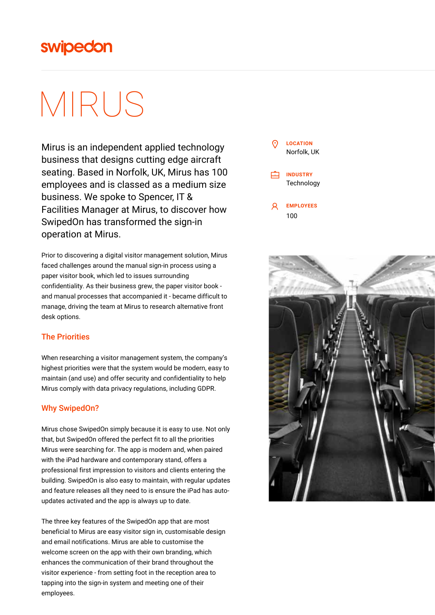## swipedon

# MIRUS

Mirus is an independent applied technology business that designs cutting edge aircraft seating. Based in Norfolk, UK, Mirus has 100 employees and is classed as a medium size business. We spoke to Spencer, IT & Facilities Manager at Mirus, to discover how SwipedOn has transformed the sign-in operation at Mirus.

Prior to discovering a digital visitor management solution, Mirus faced challenges around the manual sign-in process using a paper visitor book, which led to issues surrounding confidentiality. As their business grew, the paper visitor book and manual processes that accompanied it - became difficult to manage, driving the team at Mirus to research alternative front desk options.

### The Priorities

When researching a visitor management system, the company's highest priorities were that the system would be modern, easy to maintain (and use) and offer security and confidentiality to help Mirus comply with data privacy regulations, including GDPR.

### Why SwipedOn?

Mirus chose SwipedOn simply because it is easy to use. Not only that, but SwipedOn offered the perfect fit to all the priorities Mirus were searching for. The app is modern and, when paired with the iPad hardware and contemporary stand, offers a professional first impression to visitors and clients entering the building. SwipedOn is also easy to maintain, with regular updates and feature releases all they need to is ensure the iPad has autoupdates activated and the app is always up to date.

The three key features of the SwipedOn app that are most beneficial to Mirus are easy visitor sign in, customisable design and email notifications. Mirus are able to customise the welcome screen on the app with their own branding, which enhances the communication of their brand throughout the visitor experience - from setting foot in the reception area to tapping into the sign-in system and meeting one of their employees.